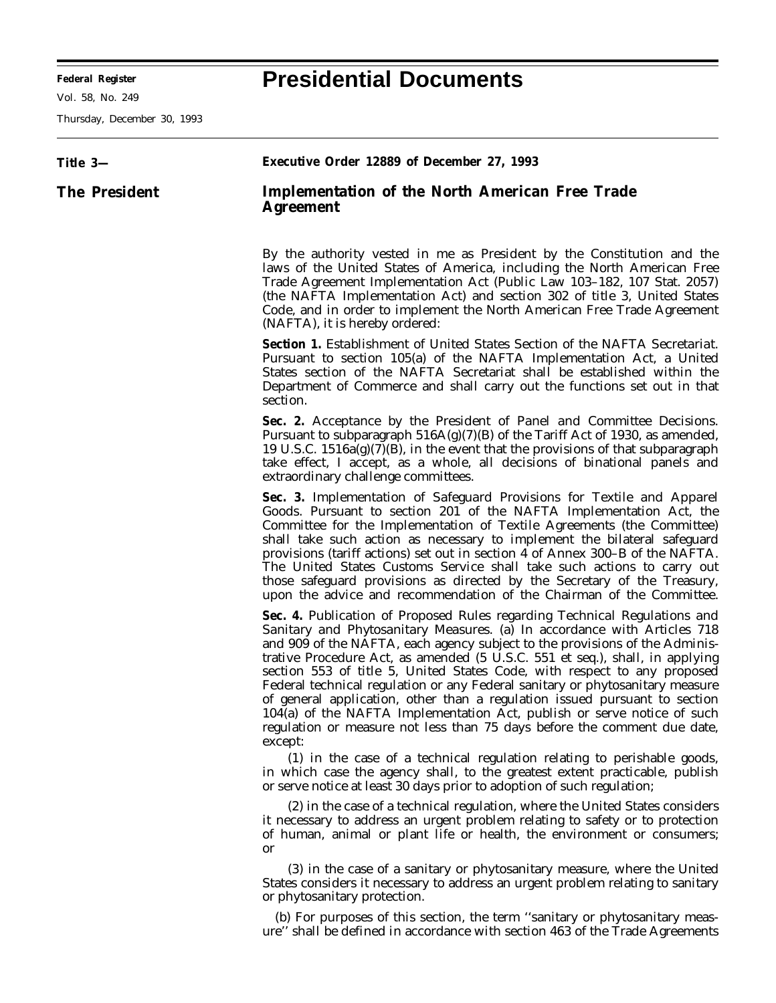**Federal Register Presidential Documents**

Ξ

Vol. 58, No. 249

Thursday, December 30, 1993

| Title 3-             | Executive Order 12889 of December 27, 1993                                                                                                                                                                                                                                                                                                                                                                                                                                                                                                                                                                                                                                                                                        |
|----------------------|-----------------------------------------------------------------------------------------------------------------------------------------------------------------------------------------------------------------------------------------------------------------------------------------------------------------------------------------------------------------------------------------------------------------------------------------------------------------------------------------------------------------------------------------------------------------------------------------------------------------------------------------------------------------------------------------------------------------------------------|
| <b>The President</b> | <b>Implementation of the North American Free Trade</b><br>Agreement                                                                                                                                                                                                                                                                                                                                                                                                                                                                                                                                                                                                                                                               |
|                      | By the authority vested in me as President by the Constitution and the<br>laws of the United States of America, including the North American Free<br>Trade Agreement Implementation Act (Public Law 103-182, 107 Stat. 2057)<br>(the NAFTA Implementation Act) and section 302 of title 3, United States<br>Code, and in order to implement the North American Free Trade Agreement<br>(NAFTA), it is hereby ordered:                                                                                                                                                                                                                                                                                                             |
|                      | <b>Section 1.</b> Establishment of United States Section of the NAFTA Secretariat.<br>Pursuant to section 105(a) of the NAFTA Implementation Act, a United<br>States section of the NAFTA Secretariat shall be established within the<br>Department of Commerce and shall carry out the functions set out in that<br>section.                                                                                                                                                                                                                                                                                                                                                                                                     |
|                      | Sec. 2. Acceptance by the President of Panel and Committee Decisions.<br>Pursuant to subparagraph $516A(g)(7)(B)$ of the Tariff Act of 1930, as amended,<br>19 U.S.C. $1516a(g)(7)(B)$ , in the event that the provisions of that subparagraph<br>take effect, I accept, as a whole, all decisions of binational panels and<br>extraordinary challenge committees.                                                                                                                                                                                                                                                                                                                                                                |
|                      | Sec. 3. Implementation of Safeguard Provisions for Textile and Apparel<br>Goods. Pursuant to section 201 of the NAFTA Implementation Act, the<br>Committee for the Implementation of Textile Agreements (the Committee)<br>shall take such action as necessary to implement the bilateral safeguard<br>provisions (tariff actions) set out in section 4 of Annex 300–B of the NAFTA.<br>The United States Customs Service shall take such actions to carry out<br>those safeguard provisions as directed by the Secretary of the Treasury,<br>upon the advice and recommendation of the Chairman of the Committee.                                                                                                                |
|                      | Sec. 4. Publication of Proposed Rules regarding Technical Regulations and<br>Sanitary and Phytosanitary Measures. (a) In accordance with Articles 718<br>and 909 of the NAFTA, each agency subject to the provisions of the Adminis-<br>trative Procedure Act, as amended (5 U.S.C. 551 et seq.), shall, in applying<br>section 553 of title 5, United States Code, with respect to any proposed<br>Federal technical regulation or any Federal sanitary or phytosanitary measure<br>of general application, other than a regulation issued pursuant to section<br>104(a) of the NAFTA Implementation Act, publish or serve notice of such<br>regulation or measure not less than 75 days before the comment due date,<br>except: |
|                      | (1) in the case of a technical regulation relating to perishable goods,<br>in which case the agency shall, to the greatest extent practicable, publish<br>or serve notice at least 30 days prior to adoption of such regulation;                                                                                                                                                                                                                                                                                                                                                                                                                                                                                                  |
|                      | (2) in the case of a technical regulation, where the United States considers<br>it necessary to address an urgent problem relating to safety or to protection<br>of human, animal or plant life or health, the environment or consumers;<br><b>or</b>                                                                                                                                                                                                                                                                                                                                                                                                                                                                             |
|                      | (3) in the case of a sanitary or phytosanitary measure, where the United<br>States considers it necessary to address an urgent problem relating to sanitary<br>or phytosanitary protection.                                                                                                                                                                                                                                                                                                                                                                                                                                                                                                                                       |
|                      | (b) For purposes of this section, the term "sanitary or phytosanitary meas-<br>ure" shall be defined in accordance with section 463 of the Trade Agreements                                                                                                                                                                                                                                                                                                                                                                                                                                                                                                                                                                       |

 $\equiv$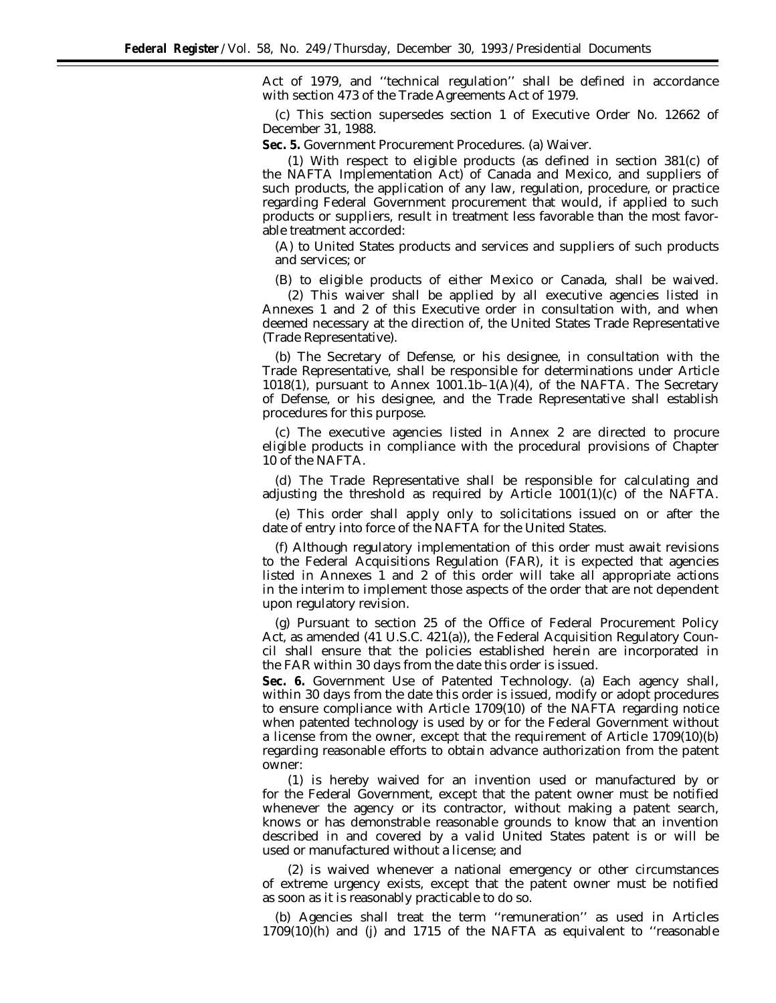Act of 1979, and ''technical regulation'' shall be defined in accordance with section 473 of the Trade Agreements Act of 1979.

(c) This section supersedes section 1 of Executive Order No. 12662 of December 31, 1988.

**Sec. 5.** *Government Procurement Procedures.* (a) Waiver.

(1) With respect to eligible products (as defined in section 381(c) of the NAFTA Implementation Act) of Canada and Mexico, and suppliers of such products, the application of any law, regulation, procedure, or practice regarding Federal Government procurement that would, if applied to such products or suppliers, result in treatment less favorable than the most favorable treatment accorded:

(A) to United States products and services and suppliers of such products and services; or

(B) to eligible products of either Mexico or Canada, shall be waived.

(2) This waiver shall be applied by all executive agencies listed in Annexes 1 and 2 of this Executive order in consultation with, and when deemed necessary at the direction of, the United States Trade Representative (Trade Representative).

(b) The Secretary of Defense, or his designee, in consultation with the Trade Representative, shall be responsible for determinations under Article 1018(1), pursuant to Annex 1001.1b–1(A)(4), of the NAFTA. The Secretary of Defense, or his designee, and the Trade Representative shall establish procedures for this purpose.

(c) The executive agencies listed in Annex 2 are directed to procure eligible products in compliance with the procedural provisions of Chapter 10 of the NAFTA.

(d) The Trade Representative shall be responsible for calculating and adjusting the threshold as required by Article  $1001(1)(c)$  of the NAFTA.

(e) This order shall apply only to solicitations issued on or after the date of entry into force of the NAFTA for the United States.

(f) Although regulatory implementation of this order must await revisions to the Federal Acquisitions Regulation (FAR), it is expected that agencies listed in Annexes 1 and 2 of this order will take all appropriate actions in the interim to implement those aspects of the order that are not dependent upon regulatory revision.

(g) Pursuant to section 25 of the Office of Federal Procurement Policy Act, as amended (41 U.S.C. 421(a)), the Federal Acquisition Regulatory Council shall ensure that the policies established herein are incorporated in the FAR within 30 days from the date this order is issued.

**Sec. 6.** *Government Use of Patented Technology.* (a) Each agency shall, within 30 days from the date this order is issued, modify or adopt procedures to ensure compliance with Article 1709(10) of the NAFTA regarding notice when patented technology is used by or for the Federal Government without a license from the owner, except that the requirement of Article 1709(10)(b) regarding reasonable efforts to obtain advance authorization from the patent owner:

(1) is hereby waived for an invention used or manufactured by or for the Federal Government, except that the patent owner must be notified whenever the agency or its contractor, without making a patent search, knows or has demonstrable reasonable grounds to know that an invention described in and covered by a valid United States patent is or will be used or manufactured without a license; and

(2) is waived whenever a national emergency or other circumstances of extreme urgency exists, except that the patent owner must be notified as soon as it is reasonably practicable to do so.

(b) Agencies shall treat the term ''remuneration'' as used in Articles  $1709(10)$ (h) and (j) and  $1715$  of the NAFTA as equivalent to "reasonable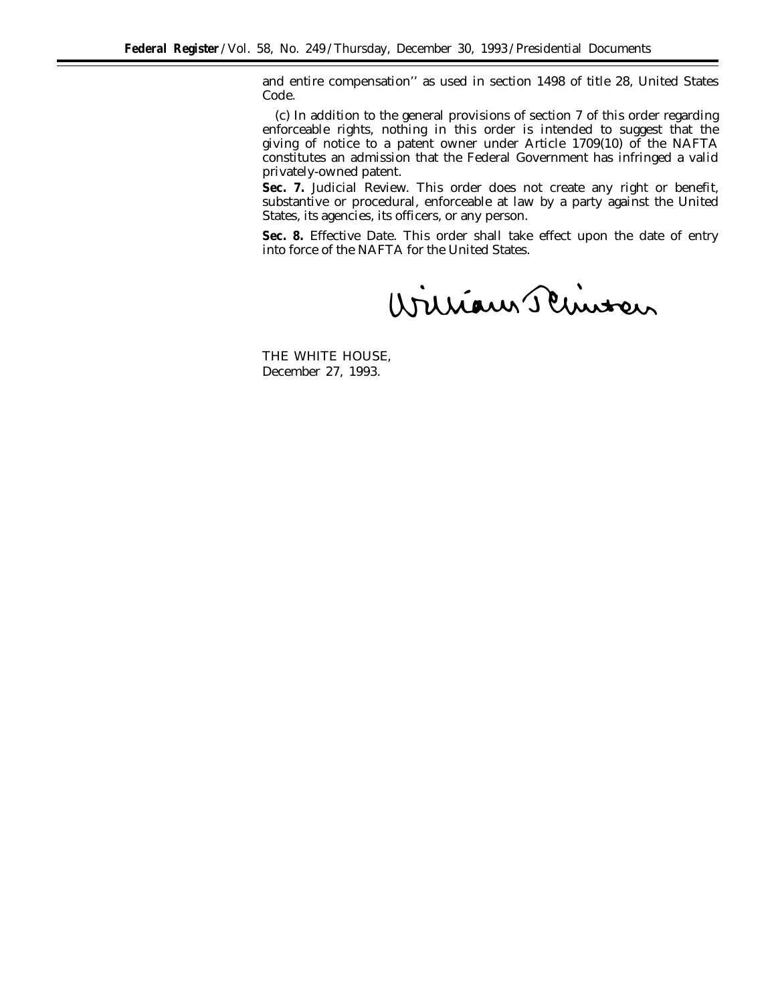and entire compensation'' as used in section 1498 of title 28, United States Code.

(c) In addition to the general provisions of section 7 of this order regarding enforceable rights, nothing in this order is intended to suggest that the giving of notice to a patent owner under Article 1709(10) of the NAFTA constitutes an admission that the Federal Government has infringed a valid privately-owned patent.

**Sec. 7.** *Judicial Review.* This order does not create any right or benefit, substantive or procedural, enforceable at law by a party against the United States, its agencies, its officers, or any person.

**Sec. 8.** *Effective Date.* This order shall take effect upon the date of entry into force of the NAFTA for the United States.

William Schinter

THE WHITE HOUSE, *December 27, 1993.*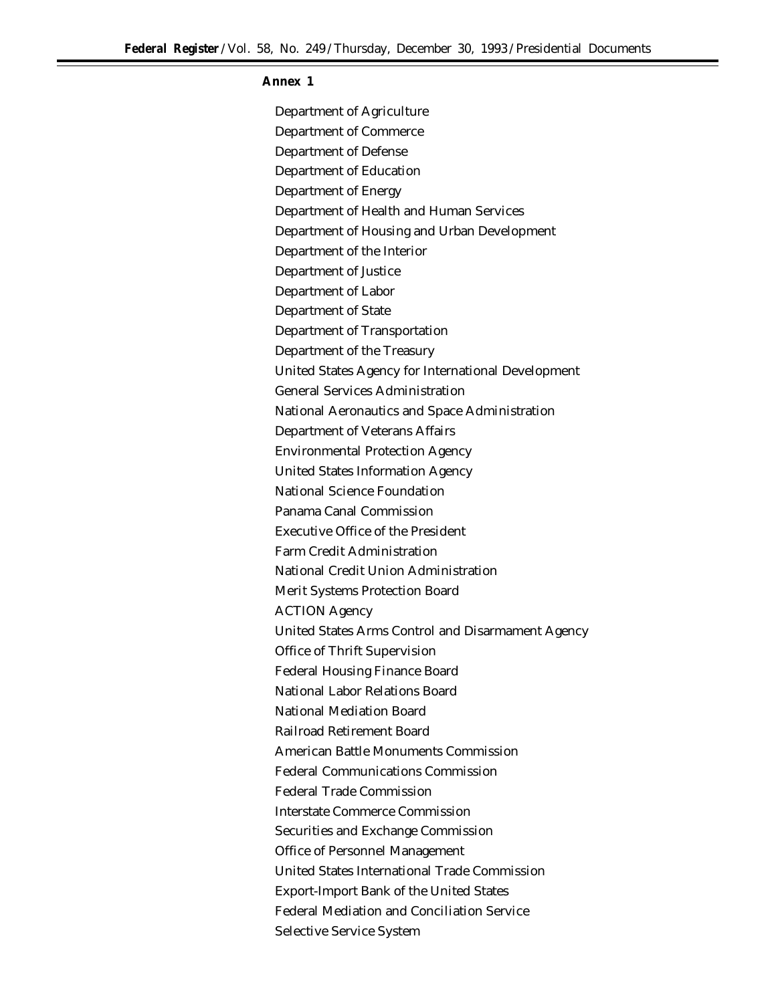## **Annex 1**

Department of Agriculture Department of Commerce Department of Defense Department of Education Department of Energy Department of Health and Human Services Department of Housing and Urban Development Department of the Interior Department of Justice Department of Labor Department of State Department of Transportation Department of the Treasury United States Agency for International Development General Services Administration National Aeronautics and Space Administration Department of Veterans Affairs Environmental Protection Agency United States Information Agency National Science Foundation Panama Canal Commission Executive Office of the President Farm Credit Administration National Credit Union Administration Merit Systems Protection Board ACTION Agency United States Arms Control and Disarmament Agency Office of Thrift Supervision Federal Housing Finance Board National Labor Relations Board National Mediation Board Railroad Retirement Board American Battle Monuments Commission Federal Communications Commission Federal Trade Commission Interstate Commerce Commission Securities and Exchange Commission Office of Personnel Management United States International Trade Commission Export-Import Bank of the United States Federal Mediation and Conciliation Service Selective Service System